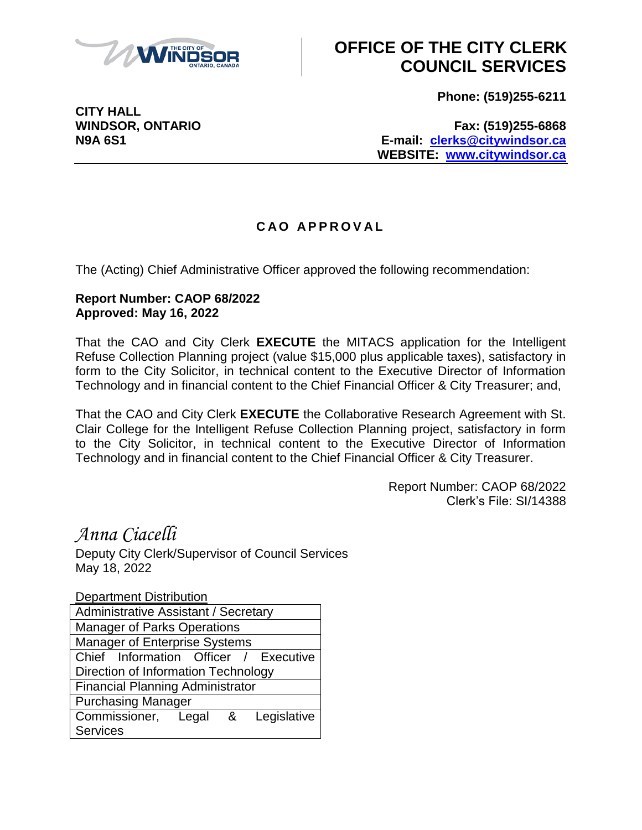

## **OFFICE OF THE CITY CLERK COUNCIL SERVICES**

**Phone: (519)255-6211**

**CITY HALL**

**WINDSOR, ONTARIO Fax: (519)255-6868 N9A 6S1 E-mail: [clerks@citywindsor.ca](mailto:clerks@citywindsor.ca) WEBSITE: [www.citywindsor.ca](http://www.citywindsor.ca/)**

## **C A O A P P R O V A L**

The (Acting) Chief Administrative Officer approved the following recommendation:

## **Report Number: CAOP 68/2022 Approved: May 16, 2022**

That the CAO and City Clerk **EXECUTE** the MITACS application for the Intelligent Refuse Collection Planning project (value \$15,000 plus applicable taxes), satisfactory in form to the City Solicitor, in technical content to the Executive Director of Information Technology and in financial content to the Chief Financial Officer & City Treasurer; and,

That the CAO and City Clerk **EXECUTE** the Collaborative Research Agreement with St. Clair College for the Intelligent Refuse Collection Planning project, satisfactory in form to the City Solicitor, in technical content to the Executive Director of Information Technology and in financial content to the Chief Financial Officer & City Treasurer.

> Report Number: CAOP 68/2022 Clerk's File: SI/14388

*Anna Ciacelli* Deputy City Clerk/Supervisor of Council Services May 18, 2022

Department Distribution Administrative Assistant / Secretary Manager of Parks Operations Manager of Enterprise Systems Chief Information Officer / Executive Direction of Information Technology Financial Planning Administrator Purchasing Manager Commissioner, Legal & Legislative **Services**